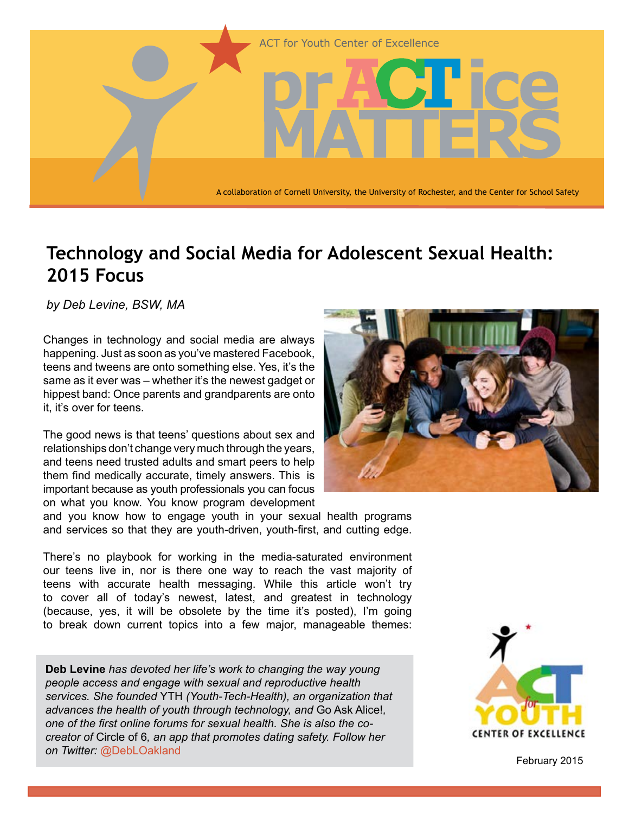

# **Technology and Social Media for Adolescent Sexual Health: 2015 Focus**

*by Deb Levine, BSW, MA*

Changes in technology and social media are always happening. Just as soon as you've mastered Facebook, teens and tweens are onto something else. Yes, it's the same as it ever was – whether it's the newest gadget or hippest band: Once parents and grandparents are onto it, it's over for teens.

The good news is that teens' questions about sex and relationships don't change very much through the years, and teens need trusted adults and smart peers to help them find medically accurate, timely answers. This is important because as youth professionals you can focus on what you know. You know program development



There's no playbook for working in the media-saturated environment our teens live in, nor is there one way to reach the vast majority of teens with accurate health messaging. While this article won't try to cover all of today's newest, latest, and greatest in technology (because, yes, it will be obsolete by the time it's posted), I'm going to break down current topics into a few major, manageable themes:

**Deb Levine** *has devoted her life's work to changing the way young people access and engage with sexual and reproductive health services. She founded* YTH *(Youth-Tech-Health), an organization that advances the health of youth through technology, and* Go Ask Alice!*, one of the first online forums for sexual health. She is also the cocreator of* Circle of 6*, an app that promotes dating safety. Follow her on Twitter:* @DebLOakland





February 2015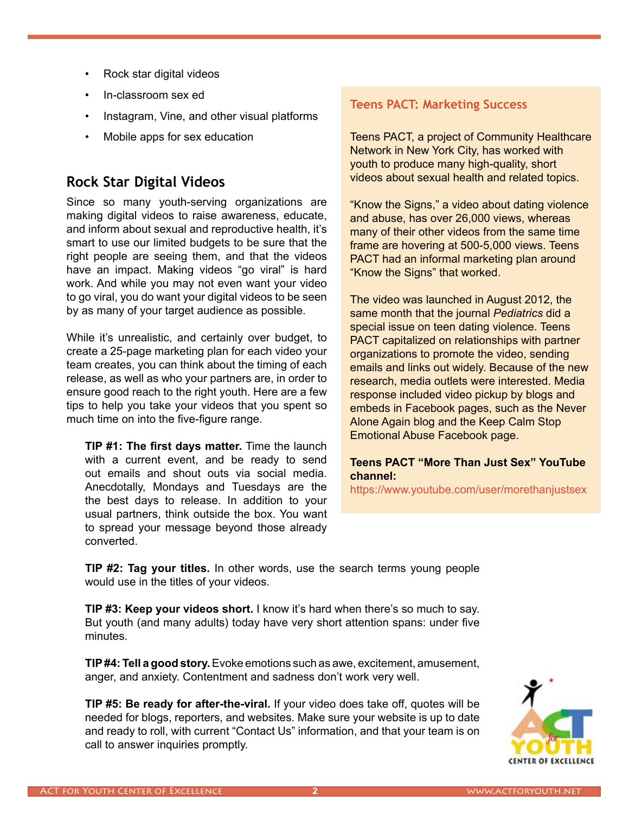- Rock star digital videos
- In-classroom sex ed
- Instagram, Vine, and other visual platforms
- Mobile apps for sex education

# **Rock Star Digital Videos**

Since so many youth-serving organizations are making digital videos to raise awareness, educate, and inform about sexual and reproductive health, it's smart to use our limited budgets to be sure that the right people are seeing them, and that the videos have an impact. Making videos "go viral" is hard work. And while you may not even want your video to go viral, you do want your digital videos to be seen by as many of your target audience as possible.

While it's unrealistic, and certainly over budget, to create a 25-page marketing plan for each video your team creates, you can think about the timing of each release, as well as who your partners are, in order to ensure good reach to the right youth. Here are a few tips to help you take your videos that you spent so much time on into the five-figure range.

**TIP #1: The first days matter.** Time the launch with a current event, and be ready to send out emails and shout outs via social media. Anecdotally, Mondays and Tuesdays are the the best days to release. In addition to your usual partners, think outside the box. You want to spread your message beyond those already converted.

#### **Teens PACT: Marketing Success**

Teens PACT, a project of Community Healthcare Network in New York City, has worked with youth to produce many high-quality, short videos about sexual health and related topics.

"Know the Signs," a video about dating violence and abuse, has over 26,000 views, whereas many of their other videos from the same time frame are hovering at 500-5,000 views. Teens PACT had an informal marketing plan around "Know the Signs" that worked.

The video was launched in August 2012, the same month that the journal *Pediatrics* did a special issue on teen dating violence. Teens PACT capitalized on relationships with partner organizations to promote the video, sending emails and links out widely. Because of the new research, media outlets were interested. Media response included video pickup by blogs and embeds in Facebook pages, such as the Never Alone Again blog and the Keep Calm Stop Emotional Abuse Facebook page.

#### **Teens PACT "More Than Just Sex" YouTube channel:**

<https://www.youtube.com/user/morethanjustsex>

**TIP #2: Tag your titles.** In other words, use the search terms young people would use in the titles of your videos.

**TIP #3: Keep your videos short.** I know it's hard when there's so much to say. But youth (and many adults) today have very short attention spans: under five minutes.

**TIP #4: Tell a good story.** Evoke emotions such as awe, excitement, amusement, anger, and anxiety. Contentment and sadness don't work very well.

**TIP #5: Be ready for after-the-viral.** If your video does take off, quotes will be needed for blogs, reporters, and websites. Make sure your website is up to date and ready to roll, with current "Contact Us" information, and that your team is on call to answer inquiries promptly.

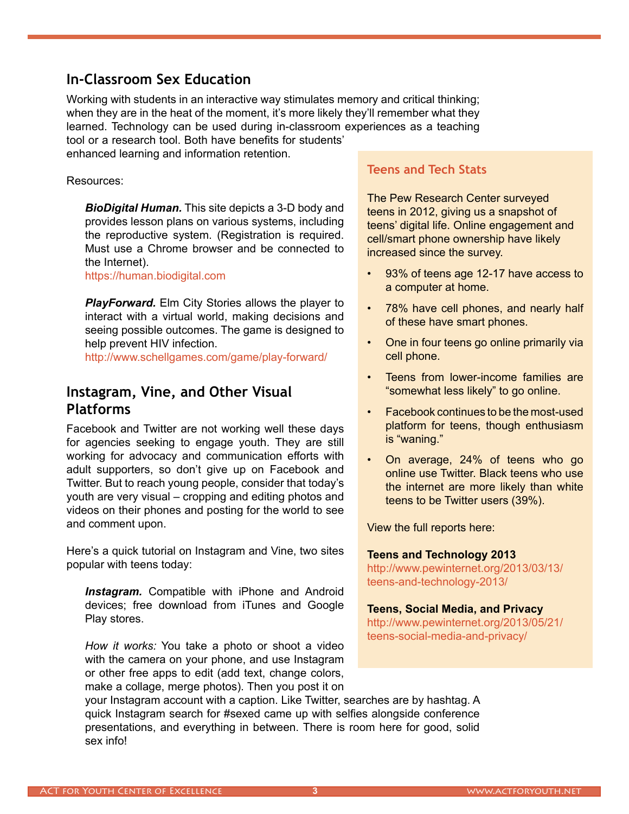## **In-Classroom Sex Education**

Working with students in an interactive way stimulates memory and critical thinking; when they are in the heat of the moment, it's more likely they'll remember what they learned. Technology can be used during in-classroom experiences as a teaching tool or a research tool. Both have benefits for students'

enhanced learning and information retention.

#### Resources:

*BioDigital Human.* This site depicts a 3-D body and provides lesson plans on various systems, including the reproductive system. (Registration is required. Must use a Chrome browser and be connected to the Internet).

<https://human.biodigital.com>

*PlayForward.* Elm City Stories allows the player to interact with a virtual world, making decisions and seeing possible outcomes. The game is designed to help prevent HIV infection.

<http://www.schellgames.com/game/play-forward/>

## **Instagram, Vine, and Other Visual Platforms**

Facebook and Twitter are not working well these days for agencies seeking to engage youth. They are still working for advocacy and communication efforts with adult supporters, so don't give up on Facebook and Twitter. But to reach young people, consider that today's youth are very visual – cropping and editing photos and videos on their phones and posting for the world to see and comment upon.

Here's a quick tutorial on Instagram and Vine, two sites popular with teens today:

*Instagram.* Compatible with iPhone and Android devices; free download from iTunes and Google Play stores.

*How it works:* You take a photo or shoot a video with the camera on your phone, and use Instagram or other free apps to edit (add text, change colors, make a collage, merge photos). Then you post it on

your Instagram account with a caption. Like Twitter, searches are by hashtag. A quick Instagram search for #sexed came up with selfies alongside conference presentations, and everything in between. There is room here for good, solid sex info!

### **Teens and Tech Stats**

The Pew Research Center surveyed teens in 2012, giving us a snapshot of teens' digital life. Online engagement and cell/smart phone ownership have likely increased since the survey.

- 93% of teens age 12-17 have access to a computer at home.
- 78% have cell phones, and nearly half of these have smart phones.
- One in four teens go online primarily via cell phone.
- Teens from lower-income families are "somewhat less likely" to go online.
- Facebook continues to be the most-used platform for teens, though enthusiasm is "waning."
- On average, 24% of teens who go online use Twitter. Black teens who use the internet are more likely than white teens to be Twitter users (39%).

View the full reports here:

# **Teens and Technology 2013**

[http://www.pewinternet.org/2013/03/13/](http://www.pewinternet.org/2013/03/13/teens-and-technology-2013/) teens-and-technology-2013/

### **Teens, Social Media, and Privacy**

[http://www.pewinternet.org/2013/05/21/](http://www.pewinternet.org/2013/05/21/teens-social-media-and-privacy/) teens-social-media-and-privacy/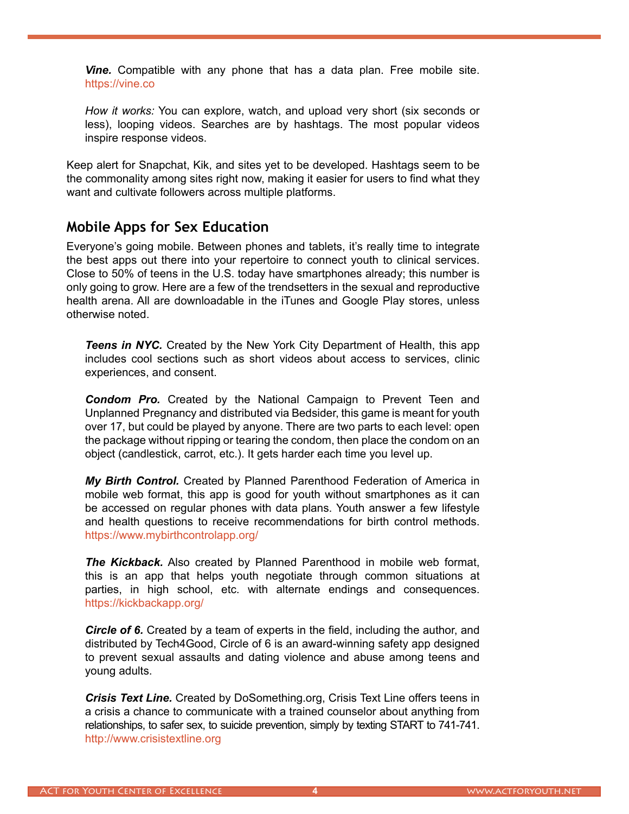*Vine.* Compatible with any phone that has a data plan. Free mobile site. <https://vine.co>

*How it works:* You can explore, watch, and upload very short (six seconds or less), looping videos. Searches are by hashtags. The most popular videos inspire response videos.

Keep alert for Snapchat, Kik, and sites yet to be developed. Hashtags seem to be the commonality among sites right now, making it easier for users to find what they want and cultivate followers across multiple platforms.

### **Mobile Apps for Sex Education**

Everyone's going mobile. Between phones and tablets, it's really time to integrate the best apps out there into your repertoire to connect youth to clinical services. Close to 50% of teens in the U.S. today have smartphones already; this number is only going to grow. Here are a few of the trendsetters in the sexual and reproductive health arena. All are downloadable in the iTunes and Google Play stores, unless otherwise noted.

**Teens in NYC.** Created by the New York City Department of Health, this app includes cool sections such as short videos about access to services, clinic experiences, and consent.

*Condom Pro.* Created by the National Campaign to Prevent Teen and Unplanned Pregnancy and distributed via Bedsider, this game is meant for youth over 17, but could be played by anyone. There are two parts to each level: open the package without ripping or tearing the condom, then place the condom on an object (candlestick, carrot, etc.). It gets harder each time you level up.

*My Birth Control.* Created by Planned Parenthood Federation of America in mobile web format, this app is good for youth without smartphones as it can be accessed on regular phones with data plans. Youth answer a few lifestyle and health questions to receive recommendations for birth control methods. <https://www.mybirthcontrolapp.org/>

*The Kickback.* Also created by Planned Parenthood in mobile web format, this is an app that helps youth negotiate through common situations at parties, in high school, etc. with alternate endings and consequences. <https://kickbackapp.org/>

*Circle of 6.* Created by a team of experts in the field, including the author, and distributed by Tech4Good, Circle of 6 is an award-winning safety app designed to prevent sexual assaults and dating violence and abuse among teens and young adults.

*Crisis Text Line.* Created by DoSomething.org, Crisis Text Line offers teens in a crisis a chance to communicate with a trained counselor about anything from relationships, to safer sex, to suicide prevention, simply by texting START to 741-741. <http://www.crisistextline.org>